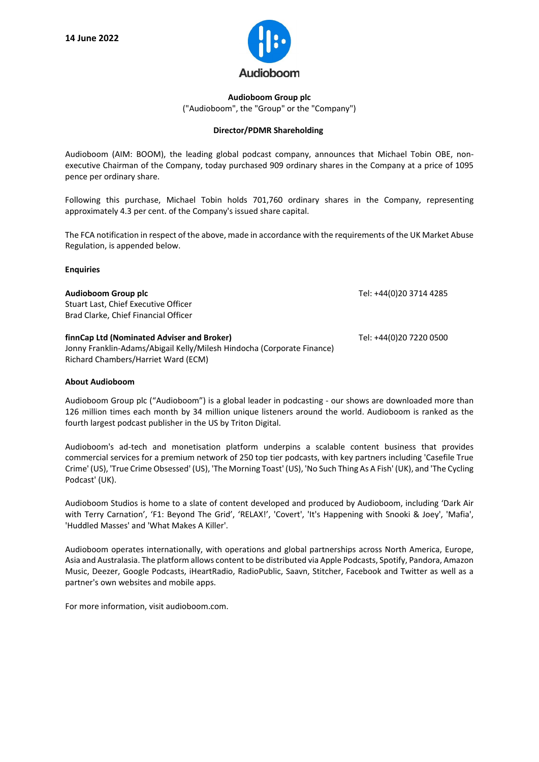

## **Audioboom Group plc** ("Audioboom", the "Group" or the "Company")

## **Director/PDMR Shareholding**

Audioboom (AIM: BOOM), the leading global podcast company, announces that Michael Tobin OBE, nonexecutive Chairman of the Company, today purchased 909 ordinary shares in the Company at a price of 1095 pence per ordinary share.

Following this purchase, Michael Tobin holds 701,760 ordinary shares in the Company, representing approximately 4.3 per cent. of the Company's issued share capital.

The FCA notification in respect of the above, made in accordance with the requirements of the UK Market Abuse Regulation, is appended below.

## **Enquiries**

| Audioboom Group plc<br>Stuart Last, Chief Executive Officer<br>Brad Clarke, Chief Financial Officer                                                         | Tel: +44(0)20 3714 4285 |
|-------------------------------------------------------------------------------------------------------------------------------------------------------------|-------------------------|
| finnCap Ltd (Nominated Adviser and Broker)<br>Jonny Franklin-Adams/Abigail Kelly/Milesh Hindocha (Corporate Finance)<br>Richard Chambers/Harriet Ward (ECM) | Tel: +44(0)20 7220 0500 |

## **About Audioboom**

Audioboom Group plc ("Audioboom") is a global leader in podcasting - our shows are downloaded more than 126 million times each month by 34 million unique listeners around the world. Audioboom is ranked as the fourth largest podcast publisher in the US by Triton Digital.

Audioboom's ad-tech and monetisation platform underpins a scalable content business that provides commercial services for a premium network of 250 top tier podcasts, with key partners including 'Casefile True Crime' (US), 'True Crime Obsessed' (US), 'The Morning Toast' (US), 'No Such Thing As A Fish' (UK), and 'The Cycling Podcast' (UK).

Audioboom Studios is home to a slate of content developed and produced by Audioboom, including 'Dark Air with Terry Carnation', 'F1: Beyond The Grid', 'RELAX!', 'Covert', 'It's Happening with Snooki & Joey', 'Mafia', 'Huddled Masses' and 'What Makes A Killer'.

Audioboom operates internationally, with operations and global partnerships across North America, Europe, Asia and Australasia. The platform allows content to be distributed via Apple Podcasts, Spotify, Pandora, Amazon Music, Deezer, Google Podcasts, iHeartRadio, RadioPublic, Saavn, Stitcher, Facebook and Twitter as well as a partner's own websites and mobile apps.

For more information, visit audioboom.com.